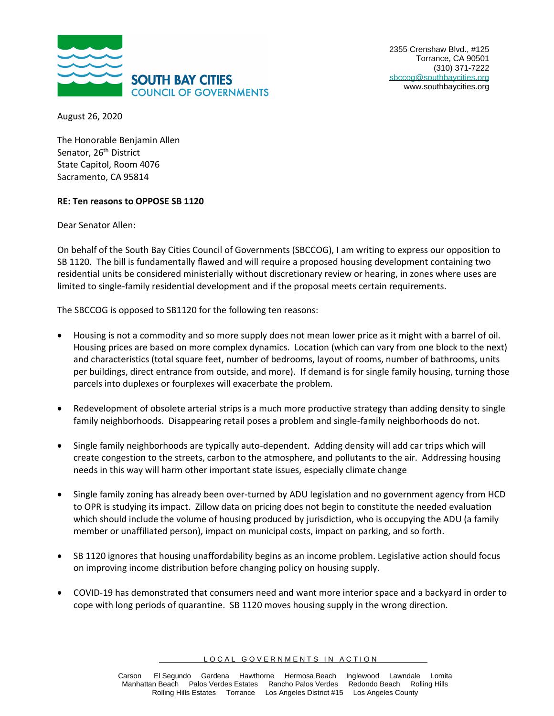

2355 Crenshaw Blvd., #125 Torrance, CA 90501 (310) 371-7222 [sbccog@southbaycities.org](mailto:sbccog@southbaycities.org) www.southbaycities.org

August 26, 2020

The Honorable Benjamin Allen Senator, 26<sup>th</sup> District State Capitol, Room 4076 Sacramento, CA 95814

## **RE: Ten reasons to OPPOSE SB 1120**

Dear Senator Allen:

On behalf of the South Bay Cities Council of Governments (SBCCOG), I am writing to express our opposition to SB 1120. The bill is fundamentally flawed and will require a proposed housing development containing two residential units be considered ministerially without discretionary review or hearing, in zones where uses are limited to single-family residential development and if the proposal meets certain requirements.

The SBCCOG is opposed to SB1120 for the following ten reasons:

- Housing is not a commodity and so more supply does not mean lower price as it might with a barrel of oil. Housing prices are based on more complex dynamics. Location (which can vary from one block to the next) and characteristics (total square feet, number of bedrooms, layout of rooms, number of bathrooms, units per buildings, direct entrance from outside, and more). If demand is for single family housing, turning those parcels into duplexes or fourplexes will exacerbate the problem.
- Redevelopment of obsolete arterial strips is a much more productive strategy than adding density to single family neighborhoods. Disappearing retail poses a problem and single-family neighborhoods do not.
- Single family neighborhoods are typically auto-dependent. Adding density will add car trips which will create congestion to the streets, carbon to the atmosphere, and pollutants to the air. Addressing housing needs in this way will harm other important state issues, especially climate change
- Single family zoning has already been over-turned by ADU legislation and no government agency from HCD to OPR is studying its impact. Zillow data on pricing does not begin to constitute the needed evaluation which should include the volume of housing produced by jurisdiction, who is occupying the ADU (a family member or unaffiliated person), impact on municipal costs, impact on parking, and so forth.
- SB 1120 ignores that housing unaffordability begins as an income problem. Legislative action should focus on improving income distribution before changing policy on housing supply.
- COVID-19 has demonstrated that consumers need and want more interior space and a backyard in order to cope with long periods of quarantine. SB 1120 moves housing supply in the wrong direction.

LOCAL GOVERNMENTS IN ACTION